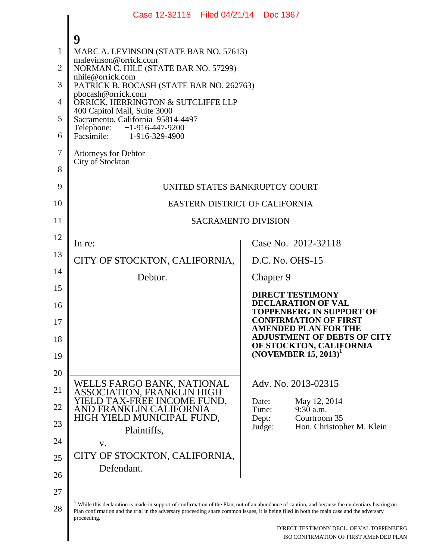| Case 12-32118 Filed 04/21/14 Doc 1367                                                                                                      |                                                                                                                                               |
|--------------------------------------------------------------------------------------------------------------------------------------------|-----------------------------------------------------------------------------------------------------------------------------------------------|
|                                                                                                                                            |                                                                                                                                               |
| 9<br>MARC A. LEVINSON (STATE BAR NO. 57613)                                                                                                |                                                                                                                                               |
| malevinson@orrick.com<br>NORMAN C. HILE (STATE BAR NO. 57299)                                                                              |                                                                                                                                               |
| nhile@orrick.com<br>PATRICK B. BOCASH (STATE BAR NO. 262763)                                                                               |                                                                                                                                               |
| pbocash@orrick.com<br>ORRICK, HERRINGTON & SUTCLIFFE LLP                                                                                   |                                                                                                                                               |
| 400 Capitol Mall, Suite 3000                                                                                                               |                                                                                                                                               |
| Sacramento, California 95814-4497<br>Telephone: +1-916-447-9200<br>Facsimile: $+1-916-329-4900$                                            |                                                                                                                                               |
|                                                                                                                                            |                                                                                                                                               |
| <b>Attorneys for Debtor</b><br>City of Stockton                                                                                            |                                                                                                                                               |
|                                                                                                                                            |                                                                                                                                               |
|                                                                                                                                            | UNITED STATES BANKRUPTCY COURT                                                                                                                |
|                                                                                                                                            | EASTERN DISTRICT OF CALIFORNIA                                                                                                                |
|                                                                                                                                            | <b>SACRAMENTO DIVISION</b>                                                                                                                    |
| In re:                                                                                                                                     | Case No. 2012-32118                                                                                                                           |
| CITY OF STOCKTON, CALIFORNIA,                                                                                                              | D.C. No. OHS-15                                                                                                                               |
| Debtor.                                                                                                                                    | Chapter 9                                                                                                                                     |
|                                                                                                                                            | <b>DIRECT TESTIMONY</b>                                                                                                                       |
|                                                                                                                                            | <b>DECLARATION OF VAL</b><br><b>TOPPENBERG IN SUPPORT OF</b>                                                                                  |
|                                                                                                                                            | <b>CONFIRMATION OF FIRST</b><br><b>AMENDED PLAN FOR THE</b>                                                                                   |
|                                                                                                                                            | <b>ADJUSTMENT OF DEBTS OF CITY</b><br>OF STOCKTON, CALIFORNIA                                                                                 |
|                                                                                                                                            | $(NOVEMBER 15, 2013)^T$                                                                                                                       |
|                                                                                                                                            |                                                                                                                                               |
| WELLS FARGO BANK, NATIONAL                                                                                                                 | Adv. No. 2013-02315                                                                                                                           |
| ASSOCIATION, FRANKLIN HIGH<br>YIELD TAX-FREE INCOME FUND,<br>AND FRANKLIN CALIFORNIA                                                       | Date:<br>May 12, 2014<br>Time:<br>9:30 a.m.                                                                                                   |
| HIGH YIELD MUNICIPAL FUND,<br>Plaintiffs,                                                                                                  | Dept:<br>Courtroom 35<br>Judge:<br>Hon. Christopher M. Klein                                                                                  |
| V.                                                                                                                                         |                                                                                                                                               |
| CITY OF STOCKTON, CALIFORNIA,                                                                                                              |                                                                                                                                               |
| Defendant.                                                                                                                                 |                                                                                                                                               |
|                                                                                                                                            |                                                                                                                                               |
| Plan confirmation and the trial in the adversary proceeding share common issues, it is being filed in both the main case and the adversary | While this declaration is made in support of confirmation of the Plan, out of an abundance of caution, and because the evidentiary hearing on |
| proceeding.                                                                                                                                |                                                                                                                                               |
|                                                                                                                                            | DIRECT TESTIMONY DECL. OF VAL TOPPENBERG<br>ISO CONFIRMATION OF FIRST AMENDED PLAN                                                            |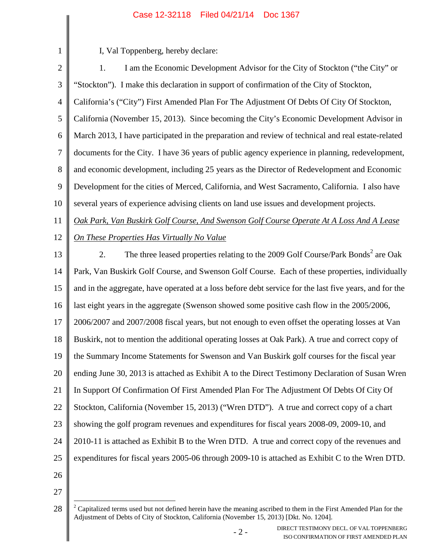| $\mathbf{1}$   | I, Val Toppenberg, hereby declare:                                                                     |
|----------------|--------------------------------------------------------------------------------------------------------|
| $\overline{2}$ | I am the Economic Development Advisor for the City of Stockton ("the City" or<br>1.                    |
| 3              | "Stockton"). I make this declaration in support of confirmation of the City of Stockton,               |
| $\overline{4}$ | California's ("City") First Amended Plan For The Adjustment Of Debts Of City Of Stockton,              |
| 5              | California (November 15, 2013). Since becoming the City's Economic Development Advisor in              |
| 6              | March 2013, I have participated in the preparation and review of technical and real estate-related     |
| 7              | documents for the City. I have 36 years of public agency experience in planning, redevelopment,        |
| 8              | and economic development, including 25 years as the Director of Redevelopment and Economic             |
| 9              | Development for the cities of Merced, California, and West Sacramento, California. I also have         |
| 10             | several years of experience advising clients on land use issues and development projects.              |
| 11             | Oak Park, Van Buskirk Golf Course, And Swenson Golf Course Operate At A Loss And A Lease               |
| 12             | On These Properties Has Virtually No Value                                                             |
| 13             | The three leased properties relating to the 2009 Golf Course/Park Bonds <sup>2</sup> are Oak<br>2.     |
| 14             | Park, Van Buskirk Golf Course, and Swenson Golf Course. Each of these properties, individually         |
| 15             | and in the aggregate, have operated at a loss before debt service for the last five years, and for the |
| 16             | last eight years in the aggregate (Swenson showed some positive cash flow in the 2005/2006,            |
| 17             | 2006/2007 and 2007/2008 fiscal years, but not enough to even offset the operating losses at Van        |
| 18             | Buskirk, not to mention the additional operating losses at Oak Park). A true and correct copy of       |
| 19             | the Summary Income Statements for Swenson and Van Buskirk golf courses for the fiscal year             |
| 20             | ending June 30, 2013 is attached as Exhibit A to the Direct Testimony Declaration of Susan Wren        |
| 21             | In Support Of Confirmation Of First Amended Plan For The Adjustment Of Debts Of City Of                |
| 22             | Stockton, California (November 15, 2013) ("Wren DTD"). A true and correct copy of a chart              |
| 23             | showing the golf program revenues and expenditures for fiscal years 2008-09, 2009-10, and              |
| 24             | 2010-11 is attached as Exhibit B to the Wren DTD. A true and correct copy of the revenues and          |
| 25             | expenditures for fiscal years 2005-06 through 2009-10 is attached as Exhibit C to the Wren DTD.        |
| 26             |                                                                                                        |
| 27             |                                                                                                        |

<sup>28</sup>  $2^2$  Capitalized terms used but not defined herein have the meaning ascribed to them in the First Amended Plan for the Adjustment of Debts of City of Stockton, California (November 15, 2013) [Dkt. No. 1204].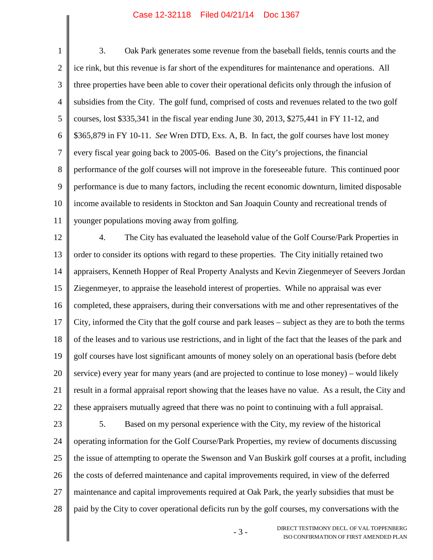1 2 3 4 5 6 7 8 9 10 11 3. Oak Park generates some revenue from the baseball fields, tennis courts and the ice rink, but this revenue is far short of the expenditures for maintenance and operations. All three properties have been able to cover their operational deficits only through the infusion of subsidies from the City. The golf fund, comprised of costs and revenues related to the two golf courses, lost \$335,341 in the fiscal year ending June 30, 2013, \$275,441 in FY 11-12, and \$365,879 in FY 10-11. *See* Wren DTD, Exs. A, B. In fact, the golf courses have lost money every fiscal year going back to 2005-06. Based on the City's projections, the financial performance of the golf courses will not improve in the foreseeable future. This continued poor performance is due to many factors, including the recent economic downturn, limited disposable income available to residents in Stockton and San Joaquin County and recreational trends of younger populations moving away from golfing.

12 13 14 15 16 17 18 19 20 21 22 4. The City has evaluated the leasehold value of the Golf Course/Park Properties in order to consider its options with regard to these properties. The City initially retained two appraisers, Kenneth Hopper of Real Property Analysts and Kevin Ziegenmeyer of Seevers Jordan Ziegenmeyer, to appraise the leasehold interest of properties. While no appraisal was ever completed, these appraisers, during their conversations with me and other representatives of the City, informed the City that the golf course and park leases – subject as they are to both the terms of the leases and to various use restrictions, and in light of the fact that the leases of the park and golf courses have lost significant amounts of money solely on an operational basis (before debt service) every year for many years (and are projected to continue to lose money) – would likely result in a formal appraisal report showing that the leases have no value. As a result, the City and these appraisers mutually agreed that there was no point to continuing with a full appraisal.

23 24 25 26 27 28 5. Based on my personal experience with the City, my review of the historical operating information for the Golf Course/Park Properties, my review of documents discussing the issue of attempting to operate the Swenson and Van Buskirk golf courses at a profit, including the costs of deferred maintenance and capital improvements required, in view of the deferred maintenance and capital improvements required at Oak Park, the yearly subsidies that must be paid by the City to cover operational deficits run by the golf courses, my conversations with the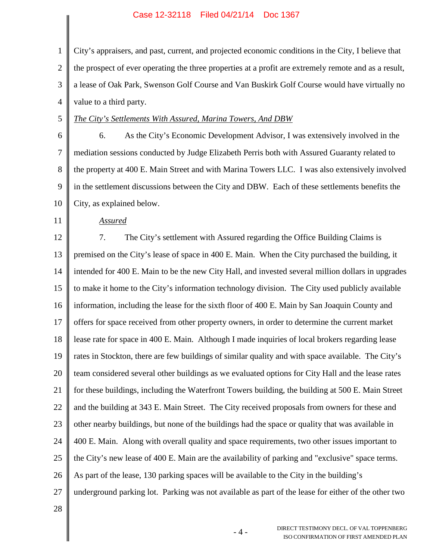1 2 3 4 City's appraisers, and past, current, and projected economic conditions in the City, I believe that the prospect of ever operating the three properties at a profit are extremely remote and as a result, a lease of Oak Park, Swenson Golf Course and Van Buskirk Golf Course would have virtually no value to a third party.

- 5
- 6

# *The City's Settlements With Assured, Marina Towers, And DBW*

7 8 9 10 6. As the City's Economic Development Advisor, I was extensively involved in the mediation sessions conducted by Judge Elizabeth Perris both with Assured Guaranty related to the property at 400 E. Main Street and with Marina Towers LLC. I was also extensively involved in the settlement discussions between the City and DBW. Each of these settlements benefits the City, as explained below.

*Assured*

12

11

### 13 14 15 16 17 18 19 20 21 22 23 24 25 26 27 7. The City's settlement with Assured regarding the Office Building Claims is premised on the City's lease of space in 400 E. Main. When the City purchased the building, it intended for 400 E. Main to be the new City Hall, and invested several million dollars in upgrades to make it home to the City's information technology division. The City used publicly available information, including the lease for the sixth floor of 400 E. Main by San Joaquin County and offers for space received from other property owners, in order to determine the current market lease rate for space in 400 E. Main. Although I made inquiries of local brokers regarding lease rates in Stockton, there are few buildings of similar quality and with space available. The City's team considered several other buildings as we evaluated options for City Hall and the lease rates for these buildings, including the Waterfront Towers building, the building at 500 E. Main Street and the building at 343 E. Main Street. The City received proposals from owners for these and other nearby buildings, but none of the buildings had the space or quality that was available in 400 E. Main. Along with overall quality and space requirements, two other issues important to the City's new lease of 400 E. Main are the availability of parking and "exclusive" space terms. As part of the lease, 130 parking spaces will be available to the City in the building's underground parking lot. Parking was not available as part of the lease for either of the other two

28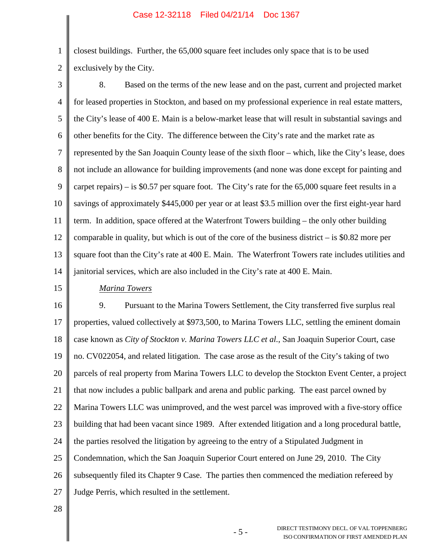1 2 closest buildings. Further, the 65,000 square feet includes only space that is to be used exclusively by the City.

3 4 5 6 7 8 9 10 11 12 13 14 8. Based on the terms of the new lease and on the past, current and projected market for leased properties in Stockton, and based on my professional experience in real estate matters, the City's lease of 400 E. Main is a below-market lease that will result in substantial savings and other benefits for the City. The difference between the City's rate and the market rate as represented by the San Joaquin County lease of the sixth floor – which, like the City's lease, does not include an allowance for building improvements (and none was done except for painting and carpet repairs) – is \$0.57 per square foot. The City's rate for the 65,000 square feet results in a savings of approximately \$445,000 per year or at least \$3.5 million over the first eight-year hard term. In addition, space offered at the Waterfront Towers building – the only other building comparable in quality, but which is out of the core of the business district  $-$  is \$0.82 more per square foot than the City's rate at 400 E. Main. The Waterfront Towers rate includes utilities and janitorial services, which are also included in the City's rate at 400 E. Main.

### 15

## *Marina Towers*

16 17 18 19 20 21 22 23 24 25 26 27 9. Pursuant to the Marina Towers Settlement, the City transferred five surplus real properties, valued collectively at \$973,500, to Marina Towers LLC, settling the eminent domain case known as *City of Stockton v. Marina Towers LLC et al.*, San Joaquin Superior Court, case no. CV022054, and related litigation. The case arose as the result of the City's taking of two parcels of real property from Marina Towers LLC to develop the Stockton Event Center, a project that now includes a public ballpark and arena and public parking. The east parcel owned by Marina Towers LLC was unimproved, and the west parcel was improved with a five-story office building that had been vacant since 1989. After extended litigation and a long procedural battle, the parties resolved the litigation by agreeing to the entry of a Stipulated Judgment in Condemnation, which the San Joaquin Superior Court entered on June 29, 2010. The City subsequently filed its Chapter 9 Case. The parties then commenced the mediation refereed by Judge Perris, which resulted in the settlement.

28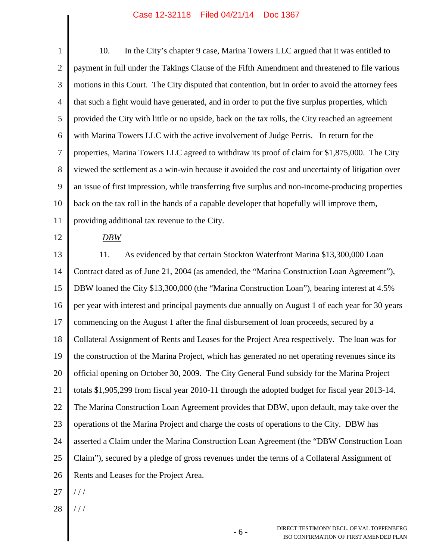| $\mathbf{1}$     | 10.<br>In the City's chapter 9 case, Marina Towers LLC argued that it was entitled to             |
|------------------|---------------------------------------------------------------------------------------------------|
| $\mathbf{2}$     | payment in full under the Takings Clause of the Fifth Amendment and threatened to file various    |
| $\mathfrak{Z}$   | motions in this Court. The City disputed that contention, but in order to avoid the attorney fees |
| $\overline{4}$   | that such a fight would have generated, and in order to put the five surplus properties, which    |
| 5                | provided the City with little or no upside, back on the tax rolls, the City reached an agreement  |
| 6                | with Marina Towers LLC with the active involvement of Judge Perris. In return for the             |
| $\boldsymbol{7}$ | properties, Marina Towers LLC agreed to withdraw its proof of claim for \$1,875,000. The City     |
| $8\,$            | viewed the settlement as a win-win because it avoided the cost and uncertainty of litigation over |
| 9                | an issue of first impression, while transferring five surplus and non-income-producing properties |
| 10               | back on the tax roll in the hands of a capable developer that hopefully will improve them,        |
| 11               | providing additional tax revenue to the City.                                                     |
| 12               | DBW                                                                                               |
| 13               | As evidenced by that certain Stockton Waterfront Marina \$13,300,000 Loan<br>11.                  |
| 14               | Contract dated as of June 21, 2004 (as amended, the "Marina Construction Loan Agreement"),        |
| 15               | DBW loaned the City \$13,300,000 (the "Marina Construction Loan"), bearing interest at 4.5%       |
| 16               | per year with interest and principal payments due annually on August 1 of each year for 30 years  |
| 17               | commencing on the August 1 after the final disbursement of loan proceeds, secured by a            |
| 18               | Collateral Assignment of Rents and Leases for the Project Area respectively. The loan was for     |
| 19               | the construction of the Marina Project, which has generated no net operating revenues since its   |
| 20               | official opening on October 30, 2009. The City General Fund subsidy for the Marina Project        |
| 21               | totals \$1,905,299 from fiscal year 2010-11 through the adopted budget for fiscal year 2013-14.   |
| 22               | The Marina Construction Loan Agreement provides that DBW, upon default, may take over the         |
| 23               | operations of the Marina Project and charge the costs of operations to the City. DBW has          |
| 24               | asserted a Claim under the Marina Construction Loan Agreement (the "DBW Construction Loan         |
| 25               | Claim"), secured by a pledge of gross revenues under the terms of a Collateral Assignment of      |
| 26               | Rents and Leases for the Project Area.                                                            |
| 27               | //                                                                                                |

28 | ///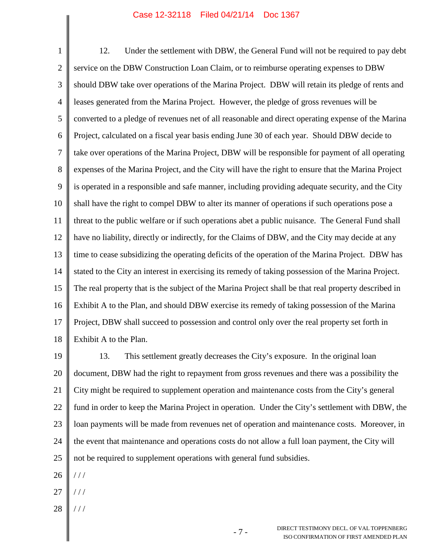1 2 3 4 5 6 7 8 9 10 11 12 13 14 15 16 17 18 12. Under the settlement with DBW, the General Fund will not be required to pay debt service on the DBW Construction Loan Claim, or to reimburse operating expenses to DBW should DBW take over operations of the Marina Project. DBW will retain its pledge of rents and leases generated from the Marina Project. However, the pledge of gross revenues will be converted to a pledge of revenues net of all reasonable and direct operating expense of the Marina Project, calculated on a fiscal year basis ending June 30 of each year. Should DBW decide to take over operations of the Marina Project, DBW will be responsible for payment of all operating expenses of the Marina Project, and the City will have the right to ensure that the Marina Project is operated in a responsible and safe manner, including providing adequate security, and the City shall have the right to compel DBW to alter its manner of operations if such operations pose a threat to the public welfare or if such operations abet a public nuisance. The General Fund shall have no liability, directly or indirectly, for the Claims of DBW, and the City may decide at any time to cease subsidizing the operating deficits of the operation of the Marina Project. DBW has stated to the City an interest in exercising its remedy of taking possession of the Marina Project. The real property that is the subject of the Marina Project shall be that real property described in Exhibit A to the Plan, and should DBW exercise its remedy of taking possession of the Marina Project, DBW shall succeed to possession and control only over the real property set forth in Exhibit A to the Plan.

19 20 21 22 23 24 25 13. This settlement greatly decreases the City's exposure. In the original loan document, DBW had the right to repayment from gross revenues and there was a possibility the City might be required to supplement operation and maintenance costs from the City's general fund in order to keep the Marina Project in operation. Under the City's settlement with DBW, the loan payments will be made from revenues net of operation and maintenance costs. Moreover, in the event that maintenance and operations costs do not allow a full loan payment, the City will not be required to supplement operations with general fund subsidies.

- 26 / / /
- 27 / / /
- 28 / / /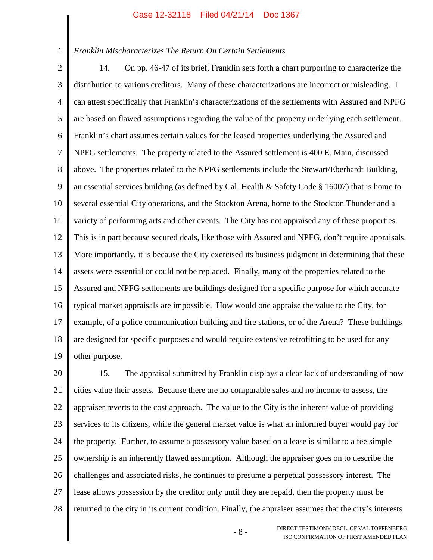1

## *Franklin Mischaracterizes The Return On Certain Settlements*

2 3 4 5 6 7 8 9 10 11 12 13 14 15 16 17 18 19 14. On pp. 46-47 of its brief, Franklin sets forth a chart purporting to characterize the distribution to various creditors. Many of these characterizations are incorrect or misleading. I can attest specifically that Franklin's characterizations of the settlements with Assured and NPFG are based on flawed assumptions regarding the value of the property underlying each settlement. Franklin's chart assumes certain values for the leased properties underlying the Assured and NPFG settlements. The property related to the Assured settlement is 400 E. Main, discussed above. The properties related to the NPFG settlements include the Stewart/Eberhardt Building, an essential services building (as defined by Cal. Health & Safety Code § 16007) that is home to several essential City operations, and the Stockton Arena, home to the Stockton Thunder and a variety of performing arts and other events. The City has not appraised any of these properties. This is in part because secured deals, like those with Assured and NPFG, don't require appraisals. More importantly, it is because the City exercised its business judgment in determining that these assets were essential or could not be replaced. Finally, many of the properties related to the Assured and NPFG settlements are buildings designed for a specific purpose for which accurate typical market appraisals are impossible. How would one appraise the value to the City, for example, of a police communication building and fire stations, or of the Arena? These buildings are designed for specific purposes and would require extensive retrofitting to be used for any other purpose.

20 21 22 23 24 25 26 27 28 15. The appraisal submitted by Franklin displays a clear lack of understanding of how cities value their assets. Because there are no comparable sales and no income to assess, the appraiser reverts to the cost approach. The value to the City is the inherent value of providing services to its citizens, while the general market value is what an informed buyer would pay for the property. Further, to assume a possessory value based on a lease is similar to a fee simple ownership is an inherently flawed assumption. Although the appraiser goes on to describe the challenges and associated risks, he continues to presume a perpetual possessory interest. The lease allows possession by the creditor only until they are repaid, then the property must be returned to the city in its current condition. Finally, the appraiser assumes that the city's interests